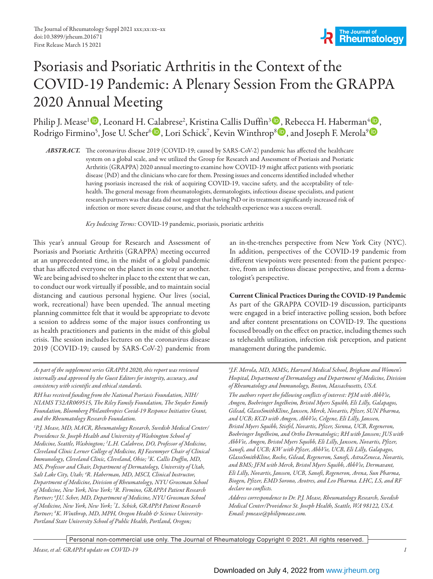# Psoriasis and Psoriatic Arthritis in the Context of the COVID-19 Pandemic: A Plenary Session From the GRAPPA 2020 Annual Meeting

Philip J. Mease<sup>1</sup> D, Leonard H. Calabrese<sup>2</sup>, Kristina Callis Duffin<sup>3</sup> D, Rebecca H. Haberman<sup>4</sup> D, Rodrigo Firmino<sup>5</sup>, Jose U. Scher<sup>6</sup><sup>D</sup>, Lori Schick<sup>7</sup>, Kevin Winthrop<sup>8</sup>D, and Joseph F. Merola<sup>9</sup>D

*ABSTRACT.* The coronavirus disease 2019 (COVID-19; caused by SARS-CoV-2) pandemic has affected the healthcare system on a global scale, and we utilized the Group for Research and Assessment of Psoriasis and Psoriatic Arthritis (GRAPPA) 2020 annual meeting to examine how COVID-19 might affect patients with psoriatic disease (PsD) and the clinicians who care for them. Pressing issues and concerns identified included whether having psoriasis increased the risk of acquiring COVID-19, vaccine safety, and the acceptability of telehealth. The general message from rheumatologists, dermatologists, infectious disease specialists, and patient research partners was that data did not suggest that having PsD or its treatment significantly increased risk of infection or more severe disease course, and that the telehealth experience was a success overall.

*Key Indexing Terms:* COVID-19 pandemic, psoriasis, psoriatic arthritis

This year's annual Group for Research and Assessment of Psoriasis and Psoriatic Arthritis (GRAPPA) meeting occurred at an unprecedented time, in the midst of a global pandemic that has affected everyone on the planet in one way or another. We are being advised to shelter in place to the extent that we can, to conduct our work virtually if possible, and to maintain social distancing and cautious personal hygiene. Our lives (social, work, recreational) have been upended. The annual meeting planning committee felt that it would be appropriate to devote a session to address some of the major issues confronting us as health practitioners and patients in the midst of this global crisis. The session includes lectures on the coronavirus disease 2019 (COVID-19; caused by SARS-CoV-2) pandemic from

*As part of the supplement series GRAPPA 2020, this report was reviewed internally and approved by the Guest Editors for integrity, accuracy, and consistency with scientific and ethical standards.*

*RH has received funding from the National Psoriasis Foundation, NIH/ NIAMS T32AR069515, The Riley Family Foundation, The Snyder Family Foundation, Bloomberg Philanthropies Covid-19 Response Initiative Grant, and the Rheumatology Research Foundation.*

*1 P.J. Mease, MD, MACR, Rheumatology Research, Swedish Medical Center/ Providence St. Joseph Health and University of Washington School of Medicine, Seattle, Washington; 2 L.H. Calabrese, DO, Professor of Medicine, Cleveland Clinic Lerner College of Medicine, RJ Fasenmyer Chair of Clinical Immunology, Cleveland Clinic, Cleveland, Ohio; 3 K. Callis Duffin, MD, MS, Professor and Chair, Department of Dermatology, University of Utah, Salt Lake City, Utah; 4 R. Haberman, MD, MSCI, Clinical Instructor, Department of Medicine, Division of Rheumatology, NYU Grossman School of Medicine, New York, New York; 5 R. Firmino, GRAPPA Patient Research Partner; 6 J.U. Scher, MD, Department of Medicine, NYU Grossman School of Medicine, New York, New York; 7 L. Schick, GRAPPA Patient Research Partner; 8 K. Winthrop, MD, MPH, Oregon Health & Science University-Portland State University School of Public Health, Portland, Oregon;* 

an in-the-trenches perspective from New York City (NYC). In addition, perspectives of the COVID-19 pandemic from different viewpoints were presented: from the patient perspective, from an infectious disease perspective, and from a dermatologist's perspective.

Current Clinical Practices During the COVID-19 Pandemic As part of the GRAPPA COVID-19 discussion, participants were engaged in a brief interactive polling session, both before and after content presentations on COVID-19. The questions focused broadly on the effect on practice, including themes such as telehealth utilization, infection risk perception, and patient management during the pandemic.

*9 J.F. Merola, MD, MMSc, Harvard Medical School, Brigham and Women's Hospital, Department of Dermatology and Department of Medicine, Division of Rheumatology and Immunology, Boston, Massachusetts, USA.*

*The authors report the following conflicts of interest: PJM with AbbVie, Amgen, Boehringer Ingelheim, Bristol Myers Squibb, Eli Lilly, Galapagos, Gilead, GlaxoSmithKline, Janssen, Merck, Novartis, Pfizer, SUN Pharma, and UCB; KCD with Amgen, AbbVie, Celgene, Eli Lilly, Janssen, Bristol Myers Squibb, Stiefel, Novartis, Pfizer, Sienna, UCB, Regeneron, Boehringer Ingelheim, and Ortho Dermatologic; RH with Janssen; JUS with AbbVie, Amgen, Bristol Myers Squibb, Eli Lilly, Janssen, Novartis, Pfizer, Sanofi, and UCB; KW with Pfizer, AbbVie, UCB, Eli Lilly, Galapagos, GlaxoSmithKline, Roche, Gilead, Regeneron, Sanofi, AstraZeneca, Novartis, and BMS; JFM with Merck, Bristol Myers Squibb, AbbVie, Dermavant, Eli Lilly, Novartis, Janssen, UCB, Sanofi, Regeneron, Arena, Sun Pharma, Biogen, Pfizer, EMD Sorono, Avotres, and Leo Pharma. LHC, LS, and RF declare no conflicts.*

*Address correspondence to Dr. P.J. Mease, Rheumatology Research, Swedish Medical Center/Providence St. Joseph Health, Seattle, WA 98122, USA. Email: pmease@philipmease.com.*

Personal non-commercial use only. The Journal of Rheumatology Copyright © 2021. All rights reserved.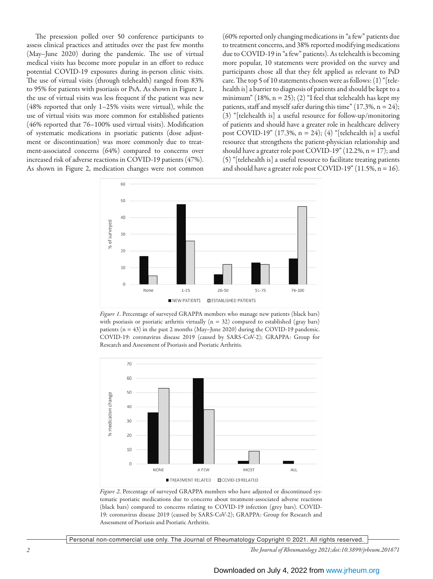The presession polled over 50 conference participants to assess clinical practices and attitudes over the past few months (May–June 2020) during the pandemic. The use of virtual medical visits has become more popular in an effort to reduce potential COVID-19 exposures during in-person clinic visits. The use of virtual visits (through telehealth) ranged from 83% to 95% for patients with psoriasis or PsA. As shown in Figure 1, the use of virtual visits was less frequent if the patient was new (48% reported that only 1–25% visits were virtual), while the use of virtual visits was more common for established patients (46% reported that 76–100% used virtual visits). Modification of systematic medications in psoriatic patients (dose adjustment or discontinuation) was more commonly due to treatment-associated concerns (64%) compared to concerns over increased risk of adverse reactions in COVID-19 patients (47%). As shown in Figure 2, medication changes were not common

(60% reported only changing medications in "a few" patients due to treatment concerns, and 38% reported modifying medications due to COVID-19 in "a few" patients). As telehealth is becoming more popular, 10 statements were provided on the survey and participants chose all that they felt applied as relevant to PsD care. The top 5 of 10 statements chosen were as follows: (1) "[telehealth is] a barrier to diagnosis of patients and should be kept to a minimum" (18%,  $n = 25$ ); (2) "I feel that telehealth has kept my patients, staff and myself safer during this time"  $(17.3\%, n = 24);$ (3) "[telehealth is] a useful resource for follow-up/monitoring of patients and should have a greater role in healthcare delivery post COVID-19" (17.3%, n = 24); (4) "[telehealth is] a useful resource that strengthens the patient-physician relationship and should have a greater role post COVID-19" (12.2%,  $n = 17$ ); and (5) "[telehealth is] a useful resource to facilitate treating patients and should have a greater role post COVID-19" (11.5%,  $n = 16$ ).



*Figure 1*. Percentage of surveyed GRAPPA members who manage new patients (black bars) with psoriasis or psoriatic arthritis virtually  $(n = 32)$  compared to established (gray bars) patients (n = 43) in the past 2 months (May–June 2020) during the COVID-19 pandemic. COVID-19: coronavirus disease 2019 (caused by SARS-CoV-2); GRAPPA: Group for Research and Assessment of Psoriasis and Psoriatic Arthritis.



*Figure 2*. Percentage of surveyed GRAPPA members who have adjusted or discontinued systematic psoriatic medications due to concerns about treatment-associated adverse reactions (black bars) compared to concerns relating to COVID-19 infection (grey bars). COVID-19: coronavirus disease 2019 (caused by SARS-CoV-2); GRAPPA: Group for Research and Assessment of Psoriasis and Psoriatic Arthritis.

Personal non-commercial use only. The Journal of Rheumatology Copyright © 2021. All rights reserved.

*2 The Journal of Rheumatology 2021;doi:10.3899/jrheum.201671*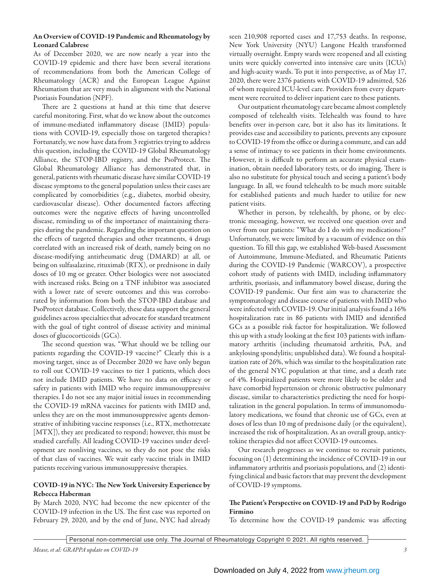### An Overview of COVID-19 Pandemic and Rheumatology by Leonard Calabrese

As of December 2020, we are now nearly a year into the COVID-19 epidemic and there have been several iterations of recommendations from both the American College of Rheumatology (ACR) and the European League Against Rheumatism that are very much in alignment with the National Psoriasis Foundation (NPF).

There are 2 questions at hand at this time that deserve careful monitoring. First, what do we know about the outcomes of immune-mediated inflammatory disease (IMID) populations with COVID-19, especially those on targeted therapies? Fortunately, we now have data from 3 registries trying to address this question, including the COVID-19 Global Rheumatology Alliance, the STOP-IBD registry, and the PsoProtect. The Global Rheumatology Alliance has demonstrated that, in general, patients with rheumatic disease have similar COVID-19 disease symptoms to the general population unless their cases are complicated by comorbidities (e.g., diabetes, morbid obesity, cardiovascular disease). Other documented factors affecting outcomes were the negative effects of having uncontrolled disease, reminding us of the importance of maintaining therapies during the pandemic. Regarding the important question on the effects of targeted therapies and other treatments, 4 drugs correlated with an increased risk of death, namely being on no disease-modifying antirheumatic drug (DMARD) at all, or being on sulfasalazine, rituximab (RTX), or prednisone in daily doses of 10 mg or greater. Other biologics were not associated with increased risks. Being on a TNF inhibitor was associated with a lower rate of severe outcomes and this was corroborated by information from both the STOP-IBD database and PsoProtect database. Collectively, these data support the general guidelines across specialties that advocate for standard treatment with the goal of tight control of disease activity and minimal doses of glucocorticoids (GCs).

The second question was, "What should we be telling our patients regarding the COVID-19 vaccine?" Clearly this is a moving target, since as of December 2020 we have only begun to roll out COVID-19 vaccines to tier 1 patients, which does not include IMID patients. We have no data on efficacy or safety in patients with IMID who require immunosuppressive therapies. I do not see any major initial issues in recommending the COVID-19 mRNA vaccines for patients with IMID and, unless they are on the most immunosuppressive agents demonstrative of inhibiting vaccine responses (i.e., RTX, methotrexate [MTX]), they are predicated to respond; however, this must be studied carefully. All leading COVID-19 vaccines under development are nonliving vaccines, so they do not pose the risks of that class of vaccines. We wait early vaccine trials in IMID patients receiving various immunosuppressive therapies.

# COVID-19 in NYC: The New York University Experience by Rebecca Haberman

By March 2020, NYC had become the new epicenter of the COVID-19 infection in the US. The first case was reported on February 29, 2020, and by the end of June, NYC had already seen 210,908 reported cases and 17,753 deaths. In response, New York University (NYU) Langone Health transformed virtually overnight. Empty wards were reopened and all existing units were quickly converted into intensive care units (ICUs) and high-acuity wards. To put it into perspective, as of May 17, 2020, there were 2376 patients with COVID-19 admitted, 526 of whom required ICU-level care. Providers from every department were recruited to deliver inpatient care to these patients.

Our outpatient rheumatology care became almost completely composed of telehealth visits. Telehealth was found to have benefits over in-person care, but it also has its limitations. It provides ease and accessibility to patients, prevents any exposure to COVID-19 from the office or during a commute, and can add a sense of intimacy to see patients in their home environments. However, it is difficult to perform an accurate physical examination, obtain needed laboratory tests, or do imaging. There is also no substitute for physical touch and seeing a patient's body language. In all, we found telehealth to be much more suitable for established patients and much harder to utilize for new patient visits.

Whether in person, by telehealth, by phone, or by electronic messaging, however, we received one question over and over from our patients: "What do I do with my medications?" Unfortunately, we were limited by a vacuum of evidence on this question. To fill this gap, we established Web-based Assessment of Autoimmune, Immune-Mediated, and Rheumatic Patients during the COVID-19 Pandemic (WARCOV), a prospective cohort study of patients with IMID, including inflammatory arthritis, psoriasis, and inflammatory bowel disease, during the COVID-19 pandemic. Our first aim was to characterize the symptomatology and disease course of patients with IMID who were infected with COVID-19. Our initial analysis found a 16% hospitalization rate in 86 patients with IMID and identified GCs as a possible risk factor for hospitalization. We followed this up with a study looking at the first 103 patients with inflammatory arthritis (including rheumatoid arthritis, PsA, and ankylosing spondylitis; unpublished data). We found a hospitalization rate of 26%, which was similar to the hospitalization rate of the general NYC population at that time, and a death rate of 4%. Hospitalized patients were more likely to be older and have comorbid hypertension or chronic obstructive pulmonary disease, similar to characteristics predicting the need for hospitalization in the general population. In terms of immunomodulatory medications, we found that chronic use of GCs, even at doses of less than 10 mg of prednisone daily (or the equivalent), increased the risk of hospitalization. As an overall group, anticytokine therapies did not affect COVID-19 outcomes.

Our research progresses as we continue to recruit patients, focusing on (1) determining the incidence of COVID-19 in our inflammatory arthritis and psoriasis populations, and (2) identifying clinical and basic factors that may prevent the development of COVID-19 symptoms.

# The Patient's Perspective on COVID-19 and PsD by Rodrigo Firmino

To determine how the COVID-19 pandemic was affecting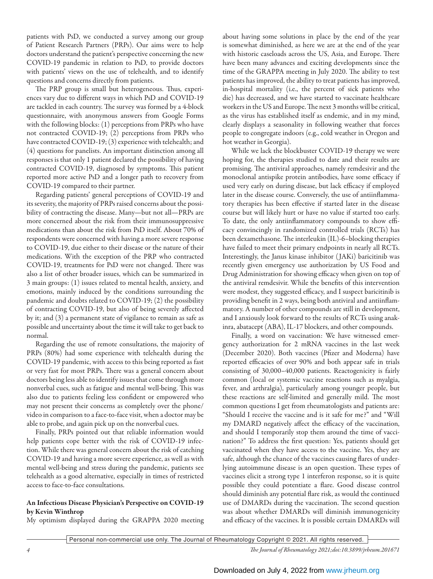patients with PsD, we conducted a survey among our group of Patient Research Partners (PRPs). Our aims were to help doctors understand the patient's perspective concerning the new COVID-19 pandemic in relation to PsD, to provide doctors with patients' views on the use of telehealth, and to identify questions and concerns directly from patients.

The PRP group is small but heterogeneous. Thus, experiences vary due to different ways in which PsD and COVID-19 are tackled in each country. The survey was formed by a 4-block questionnaire, with anonymous answers from Google Forms with the following blocks: (1) perceptions from PRPs who have not contracted COVID-19; (2) perceptions from PRPs who have contracted COVID-19; (3) experience with telehealth; and (4) questions for panelists. An important distinction among all responses is that only 1 patient declared the possibility of having contracted COVID-19, diagnosed by symptoms. This patient reported more active PsD and a longer path to recovery from COVID-19 compared to their partner.

Regarding patients' general perceptions of COVID-19 and its severity, the majority of PRPs raised concerns about the possibility of contracting the disease. Many—but not all—PRPs are more concerned about the risk from their immunosuppressive medications than about the risk from PsD itself. About 70% of respondents were concerned with having a more severe response to COVID-19, due either to their disease or the nature of their medications. With the exception of the PRP who contracted COVID-19, treatments for PsD were not changed. There was also a list of other broader issues, which can be summarized in 3 main groups: (1) issues related to mental health, anxiety, and emotions, mainly induced by the conditions surrounding the pandemic and doubts related to COVID-19; (2) the possibility of contracting COVID-19, but also of being severely affected by it; and (3) a permanent state of vigilance to remain as safe as possible and uncertainty about the time it will take to get back to normal.

Regarding the use of remote consultations, the majority of PRPs (80%) had some experience with telehealth during the COVID-19 pandemic, with access to this being reported as fast or very fast for most PRPs. There was a general concern about doctors being less able to identify issues that come through more nonverbal cues, such as fatigue and mental well-being. This was also due to patients feeling less confident or empowered who may not present their concerns as completely over the phone/ video in comparison to a face-to-face visit, when a doctor may be able to probe, and again pick up on the nonverbal cues.

Finally, PRPs pointed out that reliable information would help patients cope better with the risk of COVID-19 infection. While there was general concern about the risk of catching COVID-19 and having a more severe experience, as well as with mental well-being and stress during the pandemic, patients see telehealth as a good alternative, especially in times of restricted access to face-to-face consultations.

### An Infectious Disease Physician's Perspective on COVID-19 by Kevin Winthrop

My optimism displayed during the GRAPPA 2020 meeting

about having some solutions in place by the end of the year is somewhat diminished, as here we are at the end of the year with historic caseloads across the US, Asia, and Europe. There have been many advances and exciting developments since the time of the GRAPPA meeting in July 2020. The ability to test patients has improved, the ability to treat patients has improved, in-hospital mortality (i.e., the percent of sick patients who die) has decreased, and we have started to vaccinate healthcare workers in the US and Europe. The next 3 months will be critical, as the virus has established itself as endemic, and in my mind, clearly displays a seasonality in following weather that forces people to congregate indoors (e.g., cold weather in Oregon and hot weather in Georgia).

While we lack the blockbuster COVID-19 therapy we were hoping for, the therapies studied to date and their results are promising. The antiviral approaches, namely remdesivir and the monoclonal antispike protein antibodies, have some efficacy if used very early on during disease, but lack efficacy if employed later in the disease course. Conversely, the use of antiinflammatory therapies has been effective if started later in the disease course but will likely hurt or have no value if started too early. To date, the only antiinflammatory compounds to show efficacy convincingly in randomized controlled trials (RCTs) has been dexamethasone. The interleukin (IL)-6–blocking therapies have failed to meet their primary endpoints in nearly all RCTs. Interestingly, the Janus kinase inhibitor ( JAKi) baricitinib was recently given emergency use authorization by US Food and Drug Administration for showing efficacy when given on top of the antiviral remdesivir. While the benefits of this intervention were modest, they suggested efficacy, and I suspect baricitinib is providing benefit in 2 ways, being both antiviral and antiinflammatory. A number of other compounds are still in development, and I anxiously look forward to the results of RCTs using anakinra, abatacept (ABA), IL-17 blockers, and other compounds.

Finally, a word on vaccination: We have witnessed emergency authorization for 2 mRNA vaccines in the last week (December 2020). Both vaccines (Pfizer and Moderna) have reported efficacies of over 90% and both appear safe in trials consisting of 30,000–40,000 patients. Reactogenicity is fairly common (local or systemic vaccine reactions such as myalgia, fever, and arthralgia), particularly among younger people, but these reactions are self-limited and generally mild. The most common questions I get from rheumatologists and patients are: "Should I receive the vaccine and is it safe for me?" and "Will my DMARD negatively affect the efficacy of the vaccination, and should I temporarily stop them around the time of vaccination?" To address the first question: Yes, patients should get vaccinated when they have access to the vaccine. Yes, they are safe, although the chance of the vaccines causing flares of underlying autoimmune disease is an open question. These types of vaccines elicit a strong type 1 interferon response, so it is quite possible they could potentiate a flare. Good disease control should diminish any potential flare risk, as would the continued use of DMARDs during the vaccination. The second question was about whether DMARDs will diminish immunogenicity and efficacy of the vaccines. It is possible certain DMARDs will

Personal non-commercial use only. The Journal of Rheumatology Copyright © 2021. All rights reserved. Personal non-commercial use only. The Journal of Rheumatology Copyright © 2021. All rights reserved.

*4 The Journal of Rheumatology 2021;doi:10.3899/jrheum.201671*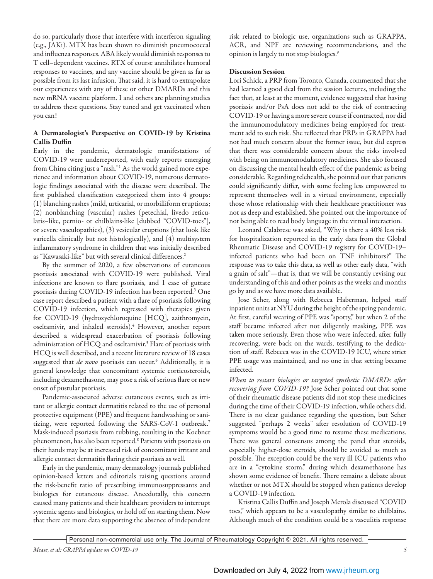do so, particularly those that interfere with interferon signaling (e.g., JAKi). MTX has been shown to diminish pneumococcal and influenza responses. ABA likely would diminish responses to T cell–dependent vaccines. RTX of course annihilates humoral responses to vaccines, and any vaccine should be given as far as possible from its last infusion. That said, it is hard to extrapolate our experiences with any of these or other DMARDs and this new mRNA vaccine platform. I and others are planning studies to address these questions. Stay tuned and get vaccinated when you can!

## A Dermatologist's Perspective on COVID-19 by Kristina Callis Duffin

Early in the pandemic, dermatologic manifestations of COVID-19 were underreported, with early reports emerging from China citing just a "rash."1 As the world gained more experience and information about COVID-19, numerous dermatologic findings associated with the disease were described. The first published classification categorized them into 4 groups: (1) blanching rashes (mild, urticarial, or morbilliform eruptions; (2) nonblanching (vascular) rashes (petechial, livedo reticularis–like, pernio- or chilblains-like [dubbed "COVID-toes"], or severe vasculopathies), (3) vesicular eruptions (that look like varicella clinically but not histologically), and (4) multisystem inflammatory syndrome in children that was initially described as "Kawasaki-like" but with several clinical differences.<sup>2</sup>

By the summer of 2020, a few observations of cutaneous psoriasis associated with COVID-19 were published. Viral infections are known to flare psoriasis, and 1 case of guttate psoriasis during COVID-19 infection has been reported.3 One case report described a patient with a flare of psoriasis following COVID-19 infection, which regressed with therapies given for COVID-19 (hydroxychloroquine [HCQ], azithromycin, oseltamivir, and inhaled steroids).4 However, another report described a widespread exacerbation of psoriasis following administration of HCQ and oseltamivir.<sup>5</sup> Flare of psoriasis with HCQ is well described, and a recent literature review of 18 cases suggested that *de novo* psoriasis can occur.6 Additionally, it is general knowledge that concomitant systemic corticosteroids, including dexamethasone, may pose a risk of serious flare or new onset of pustular psoriasis.

Pandemic-associated adverse cutaneous events, such as irritant or allergic contact dermatitis related to the use of personal protective equipment (PPE) and frequent handwashing or sanitizing, were reported following the SARS-CoV-1 outbreak.7 Mask-induced psoriasis from rubbing, resulting in the Koebner phenomenon, has also been reported.8 Patients with psoriasis on their hands may be at increased risk of concomitant irritant and allergic contact dermatitis flaring their psoriasis as well.

Early in the pandemic, many dermatology journals published opinion-based letters and editorials raising questions around the risk-benefit ratio of prescribing immunosuppressants and biologics for cutaneous disease. Anecdotally, this concern caused many patients and their healthcare providers to interrupt systemic agents and biologics, or hold off on starting them. Now that there are more data supporting the absence of independent risk related to biologic use, organizations such as GRAPPA, ACR, and NPF are reviewing recommendations, and the opinion is largely to not stop biologics.9

## Discussion Session

Lori Schick, a PRP from Toronto, Canada, commented that she had learned a good deal from the session lectures, including the fact that, at least at the moment, evidence suggested that having psoriasis and/or PsA does not add to the risk of contracting COVID-19 or having a more severe course if contracted, nor did the immunomodulatory medicines being employed for treatment add to such risk. She reflected that PRPs in GRAPPA had not had much concern about the former issue, but did express that there was considerable concern about the risks involved with being on immunomodulatory medicines. She also focused on discussing the mental health effect of the pandemic as being considerable. Regarding telehealth, she pointed out that patients could significantly differ, with some feeling less empowered to represent themselves well in a virtual environment, especially those whose relationship with their healthcare practitioner was not as deep and established. She pointed out the importance of not being able to read body language in the virtual interaction.

Leonard Calabrese was asked, "Why is there a 40% less risk for hospitalization reported in the early data from the Global Rheumatic Disease and COVID-19 registry for COVID-19– infected patients who had been on TNF inhibitors?" The response was to take this data, as well as other early data, "with a grain of salt"—that is, that we will be constantly revising our understanding of this and other points as the weeks and months go by and as we have more data available.

Jose Scher, along with Rebecca Haberman, helped staff inpatient units at NYU during the height of the spring pandemic. At first, careful wearing of PPE was "spotty," but when 2 of the staff became infected after not diligently masking, PPE was taken more seriously. Even those who were infected, after fully recovering, were back on the wards, testifying to the dedication of staff. Rebecca was in the COVID-19 ICU, where strict PPE usage was maintained, and no one in that setting became infected.

*When to restart biologics or targeted synthetic DMARDs after recovering from COVID-19?* Jose Scher pointed out that some of their rheumatic disease patients did not stop these medicines during the time of their COVID-19 infection, while others did. There is no clear guidance regarding the question, but Scher suggested "perhaps 2 weeks" after resolution of COVID-19 symptoms would be a good time to resume these medications. There was general consensus among the panel that steroids, especially higher-dose steroids, should be avoided as much as possible. The exception could be the very ill ICU patients who are in a "cytokine storm," during which dexamethasone has shown some evidence of benefit. There remains a debate about whether or not MTX should be stopped when patients develop a COVID-19 infection.

Kristina Callis Duffin and Joseph Merola discussed "COVID toes," which appears to be a vasculopathy similar to chilblains. Although much of the condition could be a vasculitis response